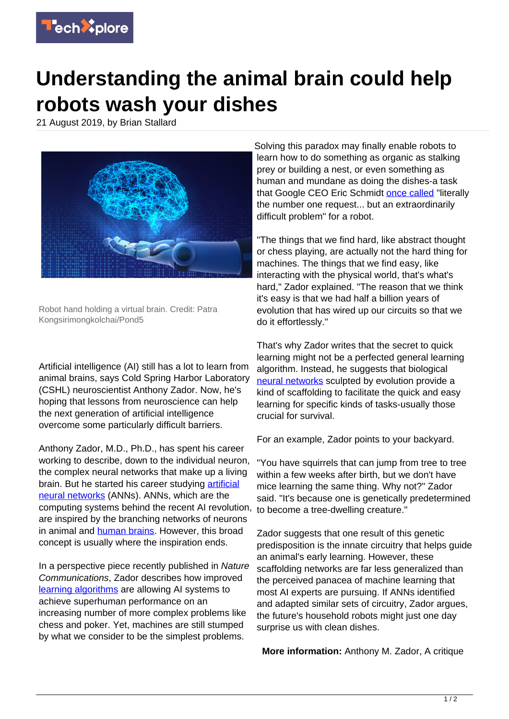

## **Understanding the animal brain could help robots wash your dishes**

21 August 2019, by Brian Stallard



Robot hand holding a virtual brain. Credit: Patra Kongsirimongkolchai/Pond5

Artificial intelligence (AI) still has a lot to learn from animal brains, says Cold Spring Harbor Laboratory (CSHL) neuroscientist Anthony Zador. Now, he's hoping that lessons from neuroscience can help the next generation of artificial intelligence overcome some particularly difficult barriers.

Anthony Zador, M.D., Ph.D., has spent his career working to describe, down to the individual neuron, the complex neural networks that make up a living brain. But he started his career studying [artificial](https://techxplore.com/tags/artificial+neural+networks/) [neural networks](https://techxplore.com/tags/artificial+neural+networks/) (ANNs). ANNs, which are the computing systems behind the recent AI revolution, are inspired by the branching networks of neurons in animal and [human brains](https://techxplore.com/tags/human+brains/). However, this broad concept is usually where the inspiration ends.

In a perspective piece recently published in Nature Communications, Zador describes how improved [learning algorithms](https://techxplore.com/tags/learning+algorithms/) are allowing AI systems to achieve superhuman performance on an increasing number of more complex problems like chess and poker. Yet, machines are still stumped by what we consider to be the simplest problems.

Solving this paradox may finally enable robots to learn how to do something as organic as stalking prey or building a nest, or even something as human and mundane as doing the dishes-a task that Google CEO Eric Schmidt [once called](https://www.cnbc.com/2017/11/21/google-billionaire-eric-schmidt-people-want-dish-washing-robots.html) "literally the number one request... but an extraordinarily difficult problem" for a robot.

"The things that we find hard, like abstract thought or chess playing, are actually not the hard thing for machines. The things that we find easy, like interacting with the physical world, that's what's hard," Zador explained. "The reason that we think it's easy is that we had half a billion years of evolution that has wired up our circuits so that we do it effortlessly."

That's why Zador writes that the secret to quick learning might not be a perfected general learning algorithm. Instead, he suggests that biological [neural networks](https://techxplore.com/tags/neural+networks/) sculpted by evolution provide a kind of scaffolding to facilitate the quick and easy learning for specific kinds of tasks-usually those crucial for survival.

For an example, Zador points to your backyard.

"You have squirrels that can jump from tree to tree within a few weeks after birth, but we don't have mice learning the same thing. Why not?" Zador said. "It's because one is genetically predetermined to become a tree-dwelling creature."

Zador suggests that one result of this genetic predisposition is the innate circuitry that helps guide an animal's early learning. However, these scaffolding networks are far less generalized than the perceived panacea of machine learning that most AI experts are pursuing. If ANNs identified and adapted similar sets of circuitry, Zador argues, the future's household robots might just one day surprise us with clean dishes.

**More information:** Anthony M. Zador, A critique